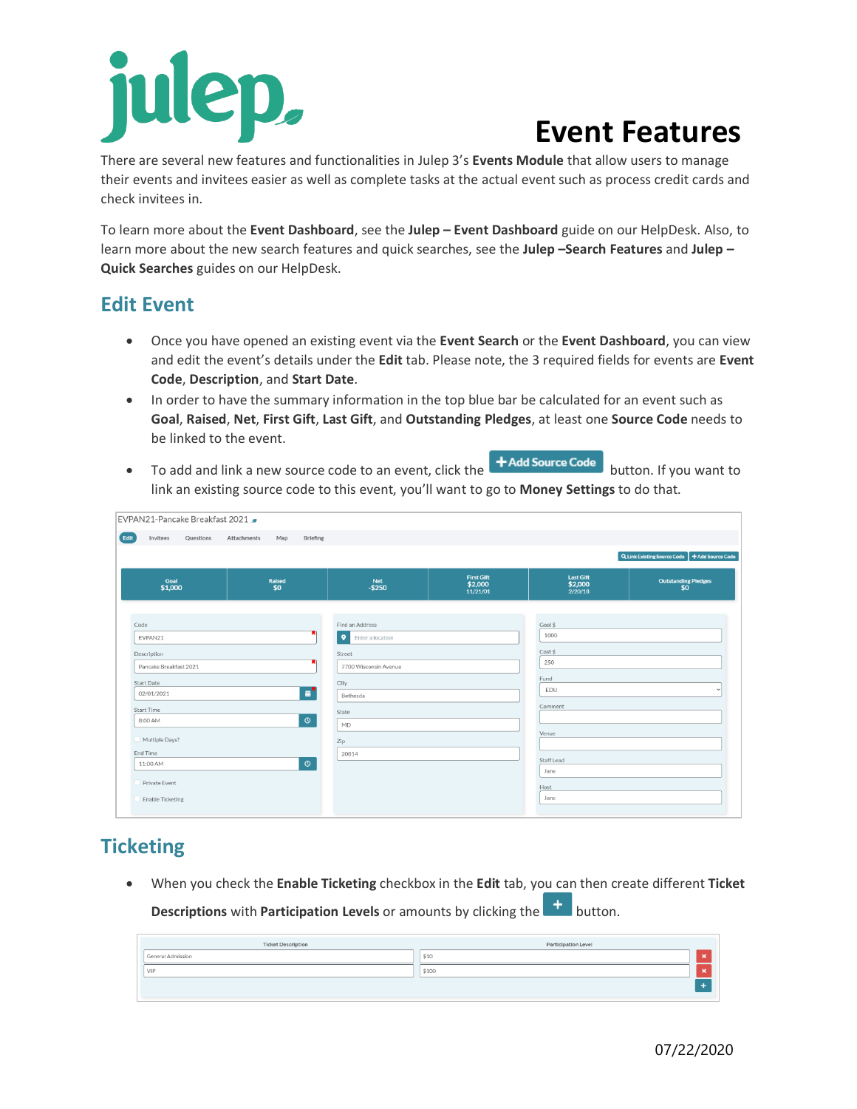# ep,

# **Event Features**

There are several new features and functionalities in Julep 3's **Events Module** that allow users to manage their events and invitees easier as well as complete tasks at the actual event such as process credit cards and check invitees in.

To learn more about the **Event Dashboard**, see the **Julep – Event Dashboard** guide on our HelpDesk. Also, to learn more about the new search features and quick searches, see the **Julep –Search Features** and **Julep – Quick Searches** guides on our HelpDesk.

### **Edit Event**

- Once you have opened an existing event via the **Event Search** or the **Event Dashboard**, you can view and edit the event's details under the **Edit** tab. Please note, the 3 required fields for events are **Event Code**, **Description**, and **Start Date**.
- In order to have the summary information in the top blue bar be calculated for an event such as **Goal**, **Raised**, **Net**, **First Gift**, **Last Gift**, and **Outstanding Pledges**, at least one **Source Code** needs to be linked to the event.
- To add and link a new source code to an event, click the **+Add Source Code** button. If you want to link an existing source code to this event, you'll want to go to **Money Settings** to do that.

|                        |                      |                               |                                          |                                        | Q Link Existing Source Code + Add Source Code |  |  |
|------------------------|----------------------|-------------------------------|------------------------------------------|----------------------------------------|-----------------------------------------------|--|--|
| Goal<br>\$1,000        | <b>Raised</b><br>\$0 | Net<br>$- $250$               | <b>First Gift</b><br>\$2,000<br>11/21/01 | <b>Last Gift</b><br>\$2,000<br>2/20/18 | <b>Outstanding Pledges</b><br>\$0             |  |  |
| Code                   |                      | Find an Address               |                                          | Goal \$                                |                                               |  |  |
| EVPAN21                |                      | $\bullet$<br>Enter a location |                                          | 1000                                   |                                               |  |  |
| Description            |                      | Street                        |                                          | Cost \$                                |                                               |  |  |
| Pancake Breakfast 2021 |                      | 7700 Wisconsin Avenue         |                                          | 250                                    |                                               |  |  |
| Start Date             |                      | City                          |                                          | Fund                                   |                                               |  |  |
| 02/01/2021             | 量                    | Bethesda                      |                                          | EDU                                    |                                               |  |  |
| Start Time             |                      | State                         |                                          | Comment                                |                                               |  |  |
| 8:00 AM                | $\circledcirc$       | MD                            |                                          |                                        |                                               |  |  |
|                        |                      |                               |                                          | Venue                                  |                                               |  |  |
| Multiple Days?         |                      | Zip                           |                                          |                                        |                                               |  |  |
| End Time<br>11:00 AM   | $\circ$              | 20814                         |                                          | Staff Lead                             |                                               |  |  |
|                        |                      |                               |                                          | Jane                                   |                                               |  |  |

# **Ticketing**

• When you check the **Enable Ticketing** checkbox in the **Edit** tab, you can then create different **Ticket Descriptions** with **Participation Levels** or amounts by clicking the **the button**.

| <b>Ticket Description</b> | Participation Level |  |
|---------------------------|---------------------|--|
| General Admission         | \$10                |  |
| VIP                       | \$100               |  |
|                           |                     |  |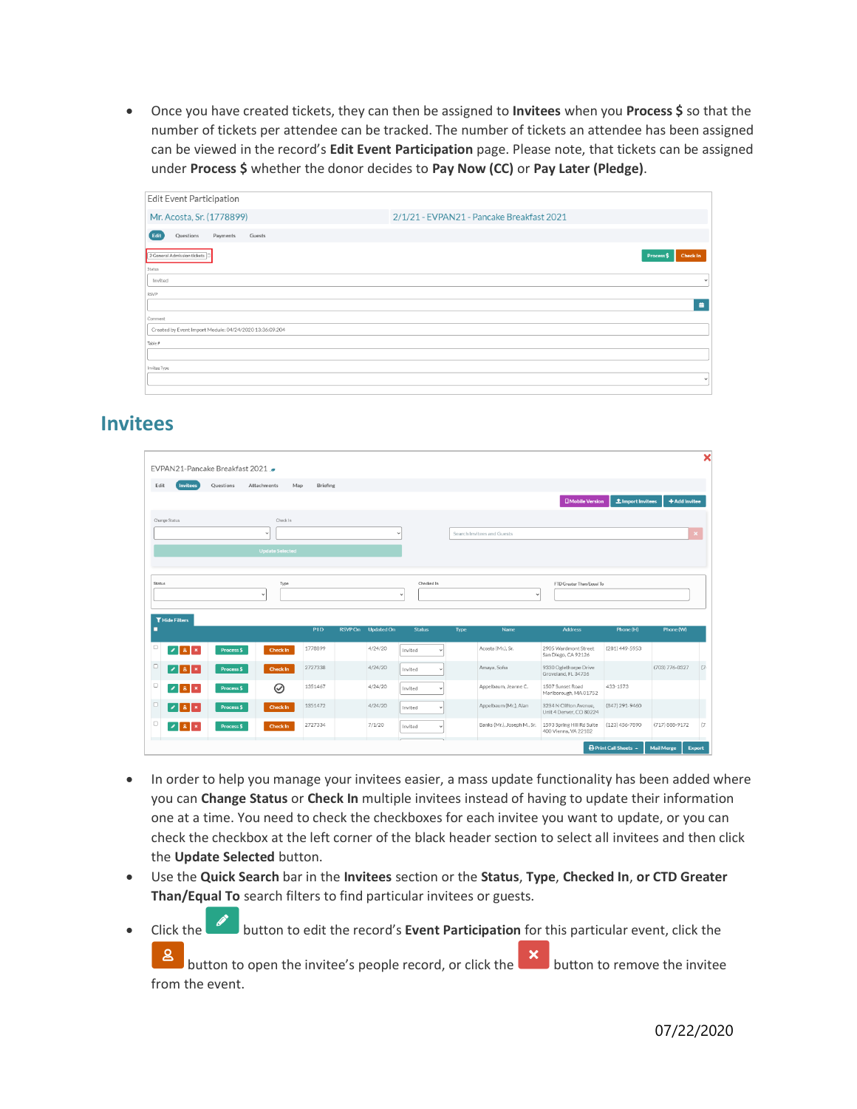• Once you have created tickets, they can then be assigned to **Invitees** when you **Process \$** so that the number of tickets per attendee can be tracked. The number of tickets an attendee has been assigned can be viewed in the record's **Edit Event Participation** page. Please note, that tickets can be assigned under **Process \$** whether the donor decides to **Pay Now (CC)** or **Pay Later (Pledge)**.

| Edit Event Participation                                |                                           |
|---------------------------------------------------------|-------------------------------------------|
| Mr. Acosta, Sr. (1778899)                               | 2/1/21 - EVPAN21 - Pancake Breakfast 2021 |
| Edit<br>Questions<br>Guests<br>Payments                 |                                           |
| 2 General Admission tickets                             | <b>Check In</b><br>Process \$             |
| Status<br>Invited                                       | $\checkmark$                              |
| <b>RSVP</b>                                             |                                           |
|                                                         | $\ddot{\textbf{m}}$                       |
| Comment                                                 |                                           |
| Created by Event Import Module: 04/24/2020 13:36:09.204 |                                           |
| Table #                                                 |                                           |
|                                                         |                                           |
| Invitee Type                                            |                                           |
|                                                         | $\checkmark$                              |
|                                                         |                                           |

#### **Invitees**

|                            | EVPAN21-Pancake Breakfast 2021  |                        |            |         |                   |                            |              |             |                             |                                                   |                          |                   | ×             |
|----------------------------|---------------------------------|------------------------|------------|---------|-------------------|----------------------------|--------------|-------------|-----------------------------|---------------------------------------------------|--------------------------|-------------------|---------------|
| Edit<br><b>Invitees</b>    | Questions<br><b>Attachments</b> | Map                    | Briefing   |         |                   |                            |              |             |                             | <b>D</b> Mobile Version                           | <b>1</b> Import Invitees | + Add Invitee     |               |
| Change Status              |                                 | Check In               |            |         |                   |                            |              |             |                             |                                                   |                          |                   |               |
|                            | $\ddot{}$                       |                        |            |         |                   |                            |              |             | Search Invitees and Guests  |                                                   |                          |                   |               |
|                            |                                 | <b>Update Selected</b> |            |         |                   |                            |              |             |                             |                                                   |                          |                   |               |
| Status                     | $\checkmark$                    | Type                   |            |         |                   | Checked In<br>$\checkmark$ |              |             | $\checkmark$                | FTD Greater Than/Equal To                         |                          |                   |               |
| <b>T</b> Hide Filters<br>о |                                 |                        | <b>PID</b> | RSVP On | <b>Updated On</b> | <b>Status</b>              |              | <b>Type</b> | Name                        | <b>Address</b>                                    | Phone (H)                | Phone (W)         |               |
| $\Box$<br>$\sqrt{8}$       | Process \$                      | <b>Check In</b>        | 1778899    |         | 4/24/20           | Invited                    |              |             | Acosta (Mr.), Sr.           | 2905 Wardmont Street<br>San Diego, CA 92126       | $(281)$ 449-5953         |                   |               |
| o<br>28                    | <b>Process \$</b>               | <b>Check In</b>        | 2727338    |         | 4/24/20           | Invited                    |              |             | Amaya, Sofia                | 9330 Oglethorpe Drive<br>Groveland, FL 34736      |                          | (703) 776-0327    | (7)           |
| O<br>$ 2 8 $ $\times$      | Process \$                      | の                      | 1351467    |         | 4/24/20           | Invited                    | ×            |             | Appelbaum, Jeanne C.        | 1507 Sunset Road<br>Marlborough, MA 01752         | 433-1573                 |                   |               |
| 18                         | <b>Process \$</b>               | <b>Check In</b>        | 1351472    |         | 4/24/20           | Invited                    |              |             | Appelbaum (Mr.), Alan       | 3234 N Clifton Avenue,<br>Unit 4 Denver, CO 80224 | (847) 291-9460           |                   |               |
| 28                         | <b>Process \$</b>               | <b>Check In</b>        | 2727334    |         | 7/1/20            | Invited                    | $\checkmark$ |             | Banks (Mr.), Joseph M., Sr. | 1593 Spring Hill Rd Suite<br>400 Vienna, VA 22182 | (123) 456-7890           | (717) 888-9172    | (7)           |
|                            |                                 |                        |            |         |                   |                            |              |             |                             |                                                   | Print Call Sheets ~      | <b>Mail Merge</b> | <b>Export</b> |

- In order to help you manage your invitees easier, a mass update functionality has been added where you can **Change Status** or **Check In** multiple invitees instead of having to update their information one at a time. You need to check the checkboxes for each invitee you want to update, or you can check the checkbox at the left corner of the black header section to select all invitees and then click the **Update Selected** button.
- Use the **Quick Search** bar in the **Invitees** section or the **Status**, **Type**, **Checked In**, **or CTD Greater Than/Equal To** search filters to find particular invitees or guests.
- Click the button to edit the record's **Event Participation** for this particular event, click the

 $\mathbf{8}$ button to open the invitee's people record, or click the  $\begin{array}{|c|c|c|}\n\hline\n\end{array}$  button to remove the invitee from the event.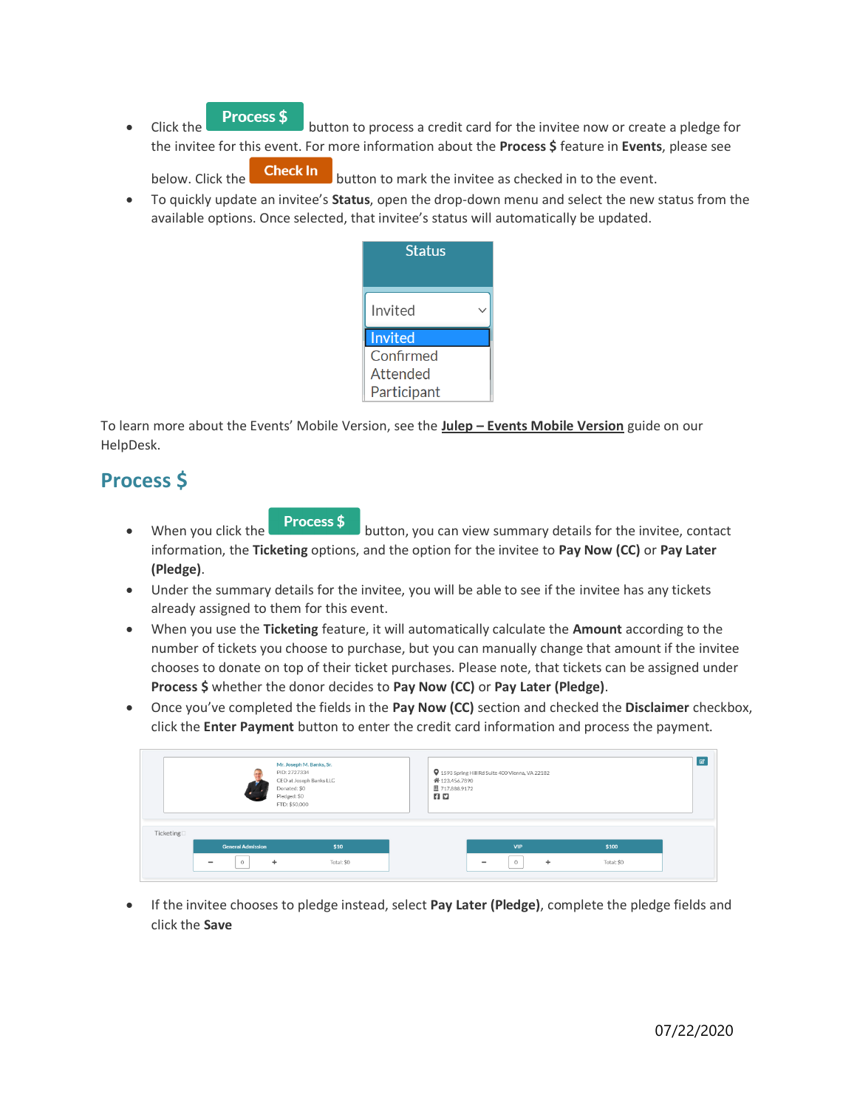**• Click the Process \$** button to process a credit card for the invitee now or create a pledge for the invitee for this event. For more information about the **Process \$** feature in **Events**, please see

below. Click the **Check In** button to mark the invitee as checked in to the event.

• To quickly update an invitee's **Status**, open the drop-down menu and select the new status from the available options. Once selected, that invitee's status will automatically be updated.

| Status      |  |
|-------------|--|
| Invited     |  |
| Invited     |  |
| Confirmed   |  |
| Attended    |  |
| Participant |  |

To learn more about the Events' Mobile Version, see the **Julep – Events Mobile Version** guide on our HelpDesk.

## **Process \$**

- When you click the **Process \$** button, you can view summary details for the invitee, contact information, the **Ticketing** options, and the option for the invitee to **Pay Now (CC)** or **Pay Later (Pledge)**.
- Under the summary details for the invitee, you will be able to see if the invitee has any tickets already assigned to them for this event.
- When you use the **Ticketing** feature, it will automatically calculate the **Amount** according to the number of tickets you choose to purchase, but you can manually change that amount if the invitee chooses to donate on top of their ticket purchases. Please note, that tickets can be assigned under **Process \$** whether the donor decides to **Pay Now (CC)** or **Pay Later (Pledge)**.
- Once you've completed the fields in the **Pay Now (CC)** section and checked the **Disclaimer** checkbox, click the **Enter Payment** button to enter the credit card information and process the payment.

|                         |                          | PID: 2727334<br>CEO at Joseph Banks LLC<br>Donated: \$0<br>Pledged: \$0<br>FTD: \$50,000 |      | 9 1593 Spring Hill Rd Suite 400 Vienna, VA 22182<br><b>省</b> 123,456,7890<br>圆 717.888.9172<br><b>AD</b> |            |       |  |
|-------------------------|--------------------------|------------------------------------------------------------------------------------------|------|----------------------------------------------------------------------------------------------------------|------------|-------|--|
|                         |                          |                                                                                          |      |                                                                                                          |            |       |  |
| Ticketing <sup>[]</sup> | <b>General Admission</b> |                                                                                          | \$10 |                                                                                                          | <b>VIP</b> | \$100 |  |

• If the invitee chooses to pledge instead, select **Pay Later (Pledge)**, complete the pledge fields and click the **Save**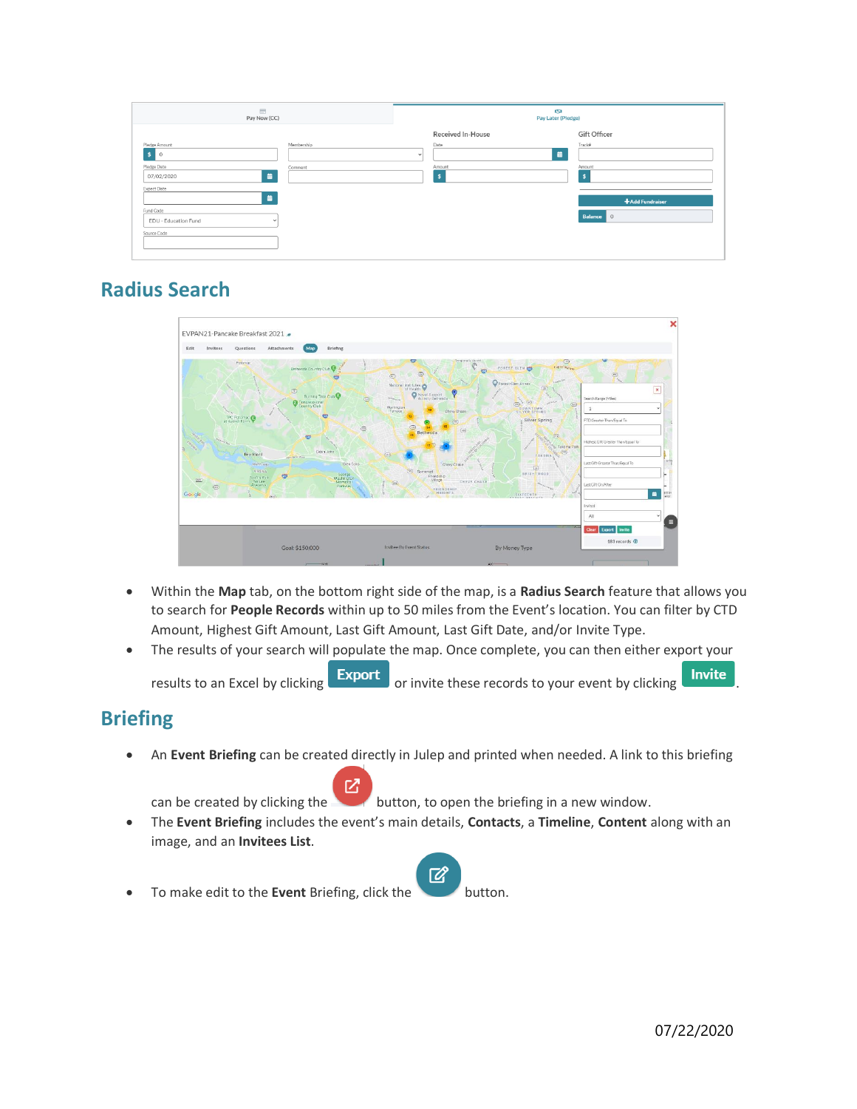| $\equiv$<br>Pay Now (CC)                            | <b>ISI</b><br>Pay Later (Pledge) |                 |
|-----------------------------------------------------|----------------------------------|-----------------|
|                                                     | Received In-House                | Gift Officer    |
| Membership<br>Pledge Amount<br>\$<br>$\overline{0}$ | Date<br>藟<br>$\checkmark$        | Track#          |
| Pledge Date<br>Comment<br>盖<br>07/02/2020           | Amount<br>- 5                    | Amount<br>×     |
| Expect Date<br>盖                                    |                                  | +Add Fundraiser |
| Fund Code<br>EDU - Education Fund<br>$\check{~}$    |                                  | Balance 0       |
| Source Code                                         |                                  |                 |

# **Radius Search**



- Within the **Map** tab, on the bottom right side of the map, is a **Radius Search** feature that allows you to search for **People Records** within up to 50 miles from the Event's location. You can filter by CTD Amount, Highest Gift Amount, Last Gift Amount, Last Gift Date, and/or Invite Type.
- The results of your search will populate the map. Once complete, you can then either export your results to an Excel by clicking  $\begin{array}{|c|c|c|c|c|}\n\hline\n\end{array}$  or invite these records to your event by clicking  $\begin{array}{|c|c|c|c|}\n\hline\n\end{array}$

# **Briefing**

• An **Event Briefing** can be created directly in Julep and printed when needed. A link to this briefing

忆 can be created by clicking the button, to open the briefing in a new window.

- The **Event Briefing** includes the event's main details, **Contacts**, a **Timeline**, **Content** along with an image, and an **Invitees List**.
- $\mathbb{Z}$ • To make edit to the **Event** Briefing, click the **button**.